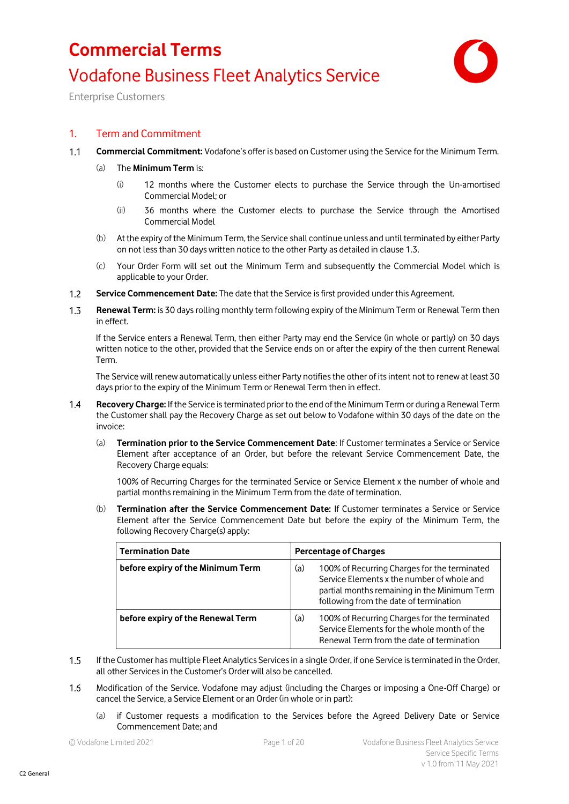

Enterprise Customers

### 1. Term and Commitment

 $1.1$ **Commercial Commitment:** Vodafone's offer is based on Customer using the Service for the Minimum Term.

#### (a) The **Minimum Term** is:

- (i) 12 months where the Customer elects to purchase the Service through the Un-amortised Commercial Model; or
- (ii) 36 months where the Customer elects to purchase the Service through the Amortised Commercial Model
- (b) At the expiry of the Minimum Term, the Service shall continue unless and until terminated by either Party on not less than 30 days written notice to the other Party as detailed in clause 1.3.
- (c) Your Order Form will set out the Minimum Term and subsequently the Commercial Model which is applicable to your Order.
- $1.2$ **Service Commencement Date:** The date that the Service is first provided under this Agreement.
- $1.3$ **Renewal Term:** is 30 days rolling monthly term following expiry of the Minimum Term or Renewal Term then in effect.

If the Service enters a Renewal Term, then either Party may end the Service (in whole or partly) on 30 days written notice to the other, provided that the Service ends on or after the expiry of the then current Renewal Term.

The Service will renew automatically unless either Party notifies the other of its intent not to renew at least 30 days prior to the expiry of the Minimum Term or Renewal Term then in effect.

- **Recovery Charge:** If the Service is terminated prior to the end of the Minimum Term or during a Renewal Term  $1.4$ the Customer shall pay the Recovery Charge as set out below to Vodafone within 30 days of the date on the invoice:
	- (a) **Termination prior to the Service Commencement Date**: If Customer terminates a Service or Service Element after acceptance of an Order, but before the relevant Service Commencement Date, the Recovery Charge equals:

100% of Recurring Charges for the terminated Service or Service Element x the number of whole and partial months remaining in the Minimum Term from the date of termination.

(b) **Termination after the Service Commencement Date:** If Customer terminates a Service or Service Element after the Service Commencement Date but before the expiry of the Minimum Term, the following Recovery Charge(s) apply:

| <b>Termination Date</b>           | <b>Percentage of Charges</b>                                                                                                                                                                |  |
|-----------------------------------|---------------------------------------------------------------------------------------------------------------------------------------------------------------------------------------------|--|
| before expiry of the Minimum Term | (a)<br>100% of Recurring Charges for the terminated<br>Service Elements x the number of whole and<br>partial months remaining in the Minimum Term<br>following from the date of termination |  |
| before expiry of the Renewal Term | 100% of Recurring Charges for the terminated<br>(a)<br>Service Elements for the whole month of the<br>Renewal Term from the date of termination                                             |  |

- If the Customer has multiple Fleet Analytics Services in a single Order, if one Service is terminated in the Order,  $1.5$ all other Services in the Customer's Order will also be cancelled.
- $1.6$ Modification of the Service. Vodafone may adjust (including the Charges or imposing a One-Off Charge) or cancel the Service, a Service Element or an Order (in whole or in part):
	- (a) if Customer requests a modification to the Services before the Agreed Delivery Date or Service Commencement Date; and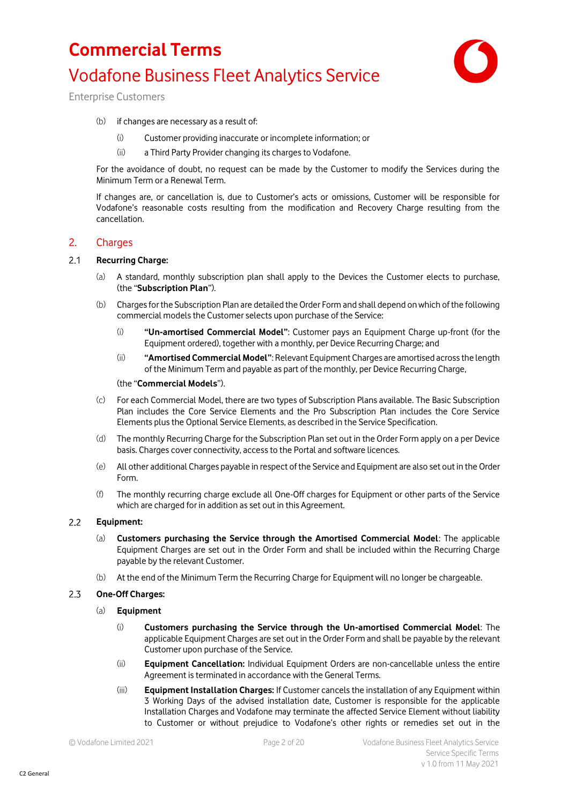

Enterprise Customers

- (b) if changes are necessary as a result of:
	- (i) Customer providing inaccurate or incomplete information; or
	- (ii) a Third Party Provider changing its charges to Vodafone.

For the avoidance of doubt, no request can be made by the Customer to modify the Services during the Minimum Term or a Renewal Term.

If changes are, or cancellation is, due to Customer's acts or omissions, Customer will be responsible for Vodafone's reasonable costs resulting from the modification and Recovery Charge resulting from the cancellation.

#### 2. Charges

#### $2.1$ **Recurring Charge:**

- (a) A standard, monthly subscription plan shall apply to the Devices the Customer elects to purchase, (the "**Subscription Plan**").
- (b) Chargesfor the Subscription Plan are detailed the Order Form and shall depend on which of the following commercial models the Customer selects upon purchase of the Service:
	- (i) **"Un-amortised Commercial Model"**: Customer pays an Equipment Charge up-front (for the Equipment ordered), together with a monthly, per Device Recurring Charge; and
	- (ii) **"Amortised Commercial Model"**: Relevant Equipment Charges are amortised across the length of the Minimum Term and payable as part of the monthly, per Device Recurring Charge,

#### (the "**Commercial Models**").

- (c) For each Commercial Model, there are two types of Subscription Plans available. The Basic Subscription Plan includes the Core Service Elements and the Pro Subscription Plan includes the Core Service Elements plus the Optional Service Elements, as described in the Service Specification.
- (d) The monthly Recurring Charge for the Subscription Plan set out in the Order Form apply on a per Device basis. Charges cover connectivity, access to the Portal and software licences.
- (e) All other additional Charges payable in respect of the Service and Equipment are also set out in the Order Form.
- (f) The monthly recurring charge exclude all One-Off charges for Equipment or other parts of the Service which are charged for in addition as set out in this Agreement.

#### $2.2$ **Equipment:**

- (a) **Customers purchasing the Service through the Amortised Commercial Model**: The applicable Equipment Charges are set out in the Order Form and shall be included within the Recurring Charge payable by the relevant Customer.
- (b) At the end of the Minimum Term the Recurring Charge for Equipment will no longer be chargeable.

#### $2.3$ **One-Off Charges:**

#### (a) **Equipment**

- (i) **Customers purchasing the Service through the Un-amortised Commercial Model**: The applicable Equipment Charges are set out in the Order Form and shall be payable by the relevant Customer upon purchase of the Service.
- (ii) **Equipment Cancellation:** Individual Equipment Orders are non-cancellable unless the entire Agreement is terminated in accordance with the General Terms.
- (iii) **Equipment Installation Charges:** If Customer cancels the installation of any Equipment within 3 Working Days of the advised installation date, Customer is responsible for the applicable Installation Charges and Vodafone may terminate the affected Service Element without liability to Customer or without prejudice to Vodafone's other rights or remedies set out in the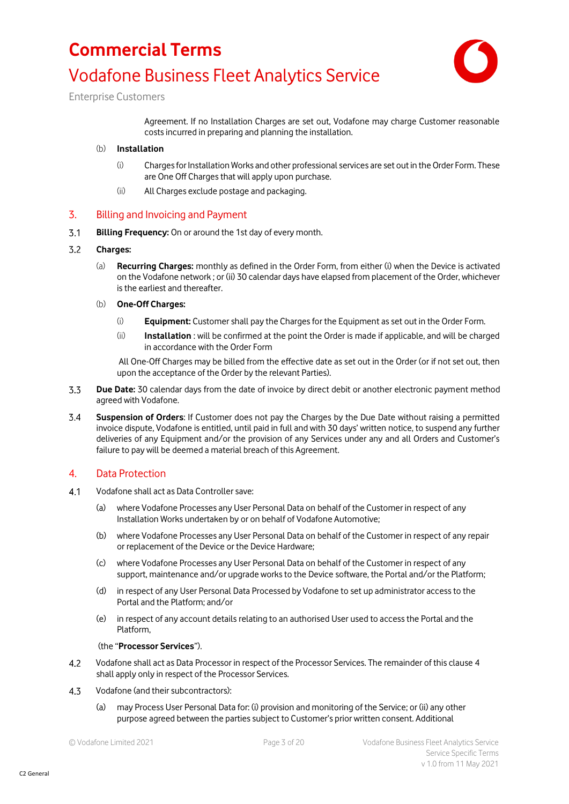

Enterprise Customers

Agreement. If no Installation Charges are set out, Vodafone may charge Customer reasonable costs incurred in preparing and planning the installation.

#### (b) **Installation**

- (i) Charges for Installation Works and other professional services are set out in the Order Form. These are One Off Charges that will apply upon purchase.
- (ii) All Charges exclude postage and packaging.

### 3. Billing and Invoicing and Payment

 $3.1$ **Billing Frequency:** On or around the 1st day of every month.

#### $3.2$ **Charges:**

(a) **Recurring Charges:** monthly as defined in the Order Form, from either (i) when the Device is activated on the Vodafone network ; or (ii) 30 calendar days have elapsed from placement of the Order, whichever is the earliest and thereafter.

#### (b) **One-Off Charges:**

- (i) **Equipment:** Customer shall pay the Charges for the Equipment as set out in the Order Form.
- (ii) **Installation** : will be confirmed at the point the Order is made if applicable, and will be charged in accordance with the Order Form

All One-Off Charges may be billed from the effective date as set out in the Order (or if not set out, then upon the acceptance of the Order by the relevant Parties).

- 3.3 **Due Date:** 30 calendar days from the date of invoice by direct debit or another electronic payment method agreed with Vodafone.
- $3.4$ **Suspension of Orders**: If Customer does not pay the Charges by the Due Date without raising a permitted invoice dispute, Vodafone is entitled, until paid in full and with 30 days' written notice, to suspend any further deliveries of any Equipment and/or the provision of any Services under any and all Orders and Customer's failure to pay will be deemed a material breach of this Agreement.

### 4. Data Protection

- $4.1$ Vodafone shall act as Data Controller save:
	- (a) where Vodafone Processes any User Personal Data on behalf of the Customer in respect of any Installation Works undertaken by or on behalf of Vodafone Automotive;
	- (b) where Vodafone Processes any User Personal Data on behalf of the Customer in respect of any repair or replacement of the Device or the Device Hardware;
	- (c) where Vodafone Processes any User Personal Data on behalf of the Customer in respect of any support, maintenance and/or upgrade works to the Device software, the Portal and/or the Platform;
	- (d) in respect of any User Personal Data Processed by Vodafone to set up administrator access to the Portal and the Platform; and/or
	- (e) in respect of any account details relating to an authorised User used to access the Portal and the Platform,

#### (the "**Processor Services**").

- $4.2$ Vodafone shall act as Data Processor in respect of the Processor Services. The remainder of this clause 4 shall apply only in respect of the Processor Services.
- 4.3 Vodafone (and their subcontractors):
	- (a) may Process User Personal Data for: (i) provision and monitoring of the Service; or (ii) any other purpose agreed between the parties subject to Customer's prior written consent. Additional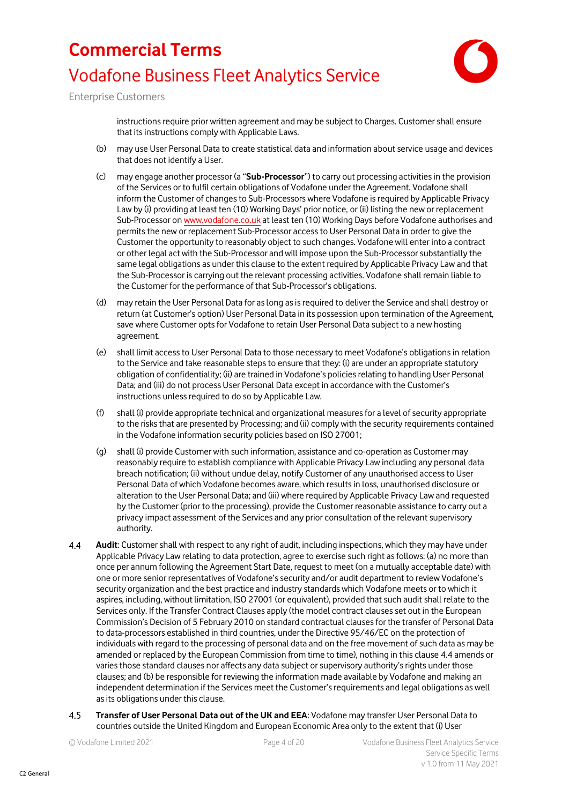

Enterprise Customers

instructions require prior written agreement and may be subject to Charges. Customer shall ensure that its instructions comply with Applicable Laws.

- (b) may use User Personal Data to create statistical data and information about service usage and devices that does not identify a User.
- (c) may engage another processor (a "**Sub-Processor**") to carry out processing activities in the provision of the Services or to fulfil certain obligations of Vodafone under the Agreement. Vodafone shall inform the Customer of changes to Sub-Processors where Vodafone is required by Applicable Privacy Law by (i) providing at least ten (10) Working Days' prior notice, or (ii) listing the new or replacement Sub-Processor o[n www.vodafone.co.uk](http://www.vodafone.co.uk/) at least ten (10) Working Days before Vodafone authorises and permits the new or replacement Sub-Processor access to User Personal Data in order to give the Customer the opportunity to reasonably object to such changes. Vodafone will enter into a contract or other legal act with the Sub-Processor and will impose upon the Sub-Processor substantially the same legal obligations as under this clause to the extent required by Applicable Privacy Law and that the Sub-Processor is carrying out the relevant processing activities. Vodafone shall remain liable to the Customer for the performance of that Sub-Processor's obligations.
- (d) may retain the User Personal Data for as long as is required to deliver the Service and shall destroy or return (at Customer's option) User Personal Data in its possession upon termination of the Agreement, save where Customer opts for Vodafone to retain User Personal Data subject to a new hosting agreement.
- (e) shall limit access to User Personal Data to those necessary to meet Vodafone's obligations in relation to the Service and take reasonable steps to ensure that they: (i) are under an appropriate statutory obligation of confidentiality; (ii) are trained in Vodafone's policies relating to handling User Personal Data; and (iii) do not process User Personal Data except in accordance with the Customer's instructions unless required to do so by Applicable Law.
- (f) shall (i) provide appropriate technical and organizational measures for a level of security appropriate to the risks that are presented by Processing; and (ii) comply with the security requirements contained in the Vodafone information security policies based on ISO 27001;
- (g) shall (i) provide Customer with such information, assistance and co-operation as Customer may reasonably require to establish compliance with Applicable Privacy Law including any personal data breach notification; (ii) without undue delay, notify Customer of any unauthorised access to User Personal Data of which Vodafone becomes aware, which results in loss, unauthorised disclosure or alteration to the User Personal Data; and (iii) where required by Applicable Privacy Law and requested by the Customer (prior to the processing), provide the Customer reasonable assistance to carry out a privacy impact assessment of the Services and any prior consultation of the relevant supervisory authority.
- $44$ **Audit**: Customer shall with respect to any right of audit, including inspections, which they may have under Applicable Privacy Law relating to data protection, agree to exercise such right as follows: (a) no more than once per annum following the Agreement Start Date, request to meet (on a mutually acceptable date) with one or more senior representatives of Vodafone's security and/or audit department to review Vodafone's security organization and the best practice and industry standards which Vodafone meets or to which it aspires, including, without limitation, ISO 27001 (or equivalent), provided that such audit shall relate to the Services only. If the Transfer Contract Clauses apply (the model contract clauses set out in the European Commission's Decision of 5 February 2010 on standard contractual clauses for the transfer of Personal Data to data-processors established in third countries, under the Directive 95/46/EC on the protection of individuals with regard to the processing of personal data and on the free movement of such data as may be amended or replaced by the European Commission from time to time), nothing in this clause 4.4 amends or varies those standard clauses nor affects any data subject or supervisory authority's rights under those clauses; and (b) be responsible for reviewing the information made available by Vodafone and making an independent determination if the Services meet the Customer's requirements and legal obligations as well as its obligations under this clause.
- **Transfer of User Personal Data out of the UK and EEA**: Vodafone may transfer User Personal Data to  $4.5$ countries outside the United Kingdom and European Economic Area only to the extent that (i) User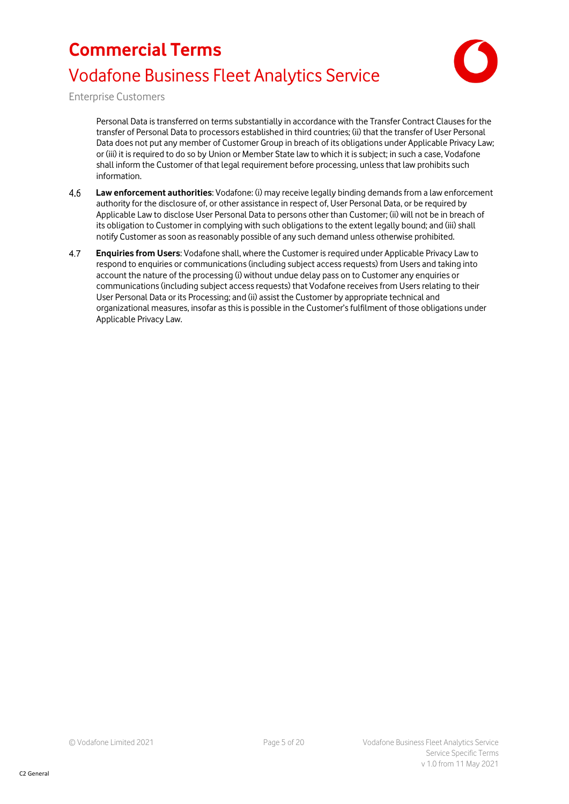

Enterprise Customers

Personal Data is transferred on terms substantially in accordance with the Transfer Contract Clauses for the transfer of Personal Data to processors established in third countries; (ii) that the transfer of User Personal Data does not put any member of Customer Group in breach of its obligations under Applicable Privacy Law; or (iii) it is required to do so by Union or Member State law to which it is subject; in such a case, Vodafone shall inform the Customer of that legal requirement before processing, unless that law prohibits such information.

- 4.6 **Law enforcement authorities**: Vodafone: (i) may receive legally binding demands from a law enforcement authority for the disclosure of, or other assistance in respect of, User Personal Data, or be required by Applicable Law to disclose User Personal Data to persons other than Customer; (ii) will not be in breach of its obligation to Customer in complying with such obligations to the extent legally bound; and (iii) shall notify Customer as soon as reasonably possible of any such demand unless otherwise prohibited.
- 4.7 **Enquiries from Users**: Vodafone shall, where the Customer is required under Applicable Privacy Law to respond to enquiries or communications (including subject access requests) from Users and taking into account the nature of the processing (i) without undue delay pass on to Customer any enquiries or communications (including subject access requests) that Vodafone receives from Users relating to their User Personal Data or its Processing; and (ii) assist the Customer by appropriate technical and organizational measures, insofar as this is possible in the Customer's fulfilment of those obligations under Applicable Privacy Law.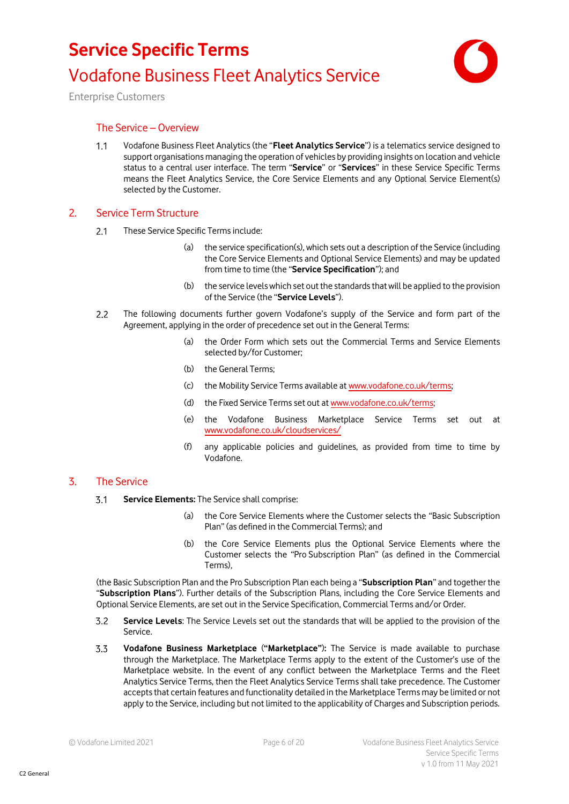

Enterprise Customers

### The Service – Overview

 $1.1$ Vodafone Business Fleet Analytics (the "**Fleet Analytics Service**") is a telematics service designed to support organisations managing the operation of vehicles by providing insights on location and vehicle status to a central user interface. The term "**Service**" or "**Services**" in these Service Specific Terms means the Fleet Analytics Service, the Core Service Elements and any Optional Service Element(s) selected by the Customer.

### 2. Service Term Structure

- These Service Specific Terms include:  $2.1$ 
	- (a) the service specification(s), which sets out a description of the Service (including the Core Service Elements and Optional Service Elements) and may be updated from time to time (the "**Service Specification**"); and
	- (b) the service levels which set out the standards that will be applied to the provision of the Service (the "**Service Levels**").
- $2.2$ The following documents further govern Vodafone's supply of the Service and form part of the Agreement, applying in the order of precedence set out in the General Terms:
	- (a) the Order Form which sets out the Commercial Terms and Service Elements selected by/for Customer;
	- (b) the General Terms;
	- (c) the Mobility Service Terms available at [www.vodafone.co.uk/terms;](http://www.vodafone.co.uk/terms)
	- (d) the Fixed Service Terms set out a[t www.vodafone.co.uk/terms;](http://www.vodafone.co.uk/terms)
	- (e) the Vodafone Business Marketplace Service Terms set out at [www.vodafone.co.uk/cloudservices/](http://www.vodafone.co.uk/cloudservices/)
	- (f) any applicable policies and guidelines, as provided from time to time by Vodafone.

### 3. The Service

- $3.1$ **Service Elements:** The Service shall comprise:
	- (a) the Core Service Elements where the Customer selects the "Basic Subscription Plan" (as defined in the Commercial Terms); and
	- (b) the Core Service Elements plus the Optional Service Elements where the Customer selects the "Pro Subscription Plan" (as defined in the Commercial Terms),

(the Basic Subscription Plan and the Pro Subscription Plan each being a "**Subscription Plan**" and together the "**Subscription Plans**"). Further details of the Subscription Plans, including the Core Service Elements and Optional Service Elements, are set out in the Service Specification, Commercial Terms and/or Order.

- $3.2$ **Service Levels**: The Service Levels set out the standards that will be applied to the provision of the Service.
- $3.3$ **Vodafone Business Marketplace** (**"Marketplace"**)**:** The Service is made available to purchase through the Marketplace. The Marketplace Terms apply to the extent of the Customer's use of the Marketplace website. In the event of any conflict between the Marketplace Terms and the Fleet Analytics Service Terms, then the Fleet Analytics Service Terms shall take precedence. The Customer accepts that certain features and functionality detailed in the Marketplace Terms may be limited or not apply to the Service, including but not limited to the applicability of Charges and Subscription periods.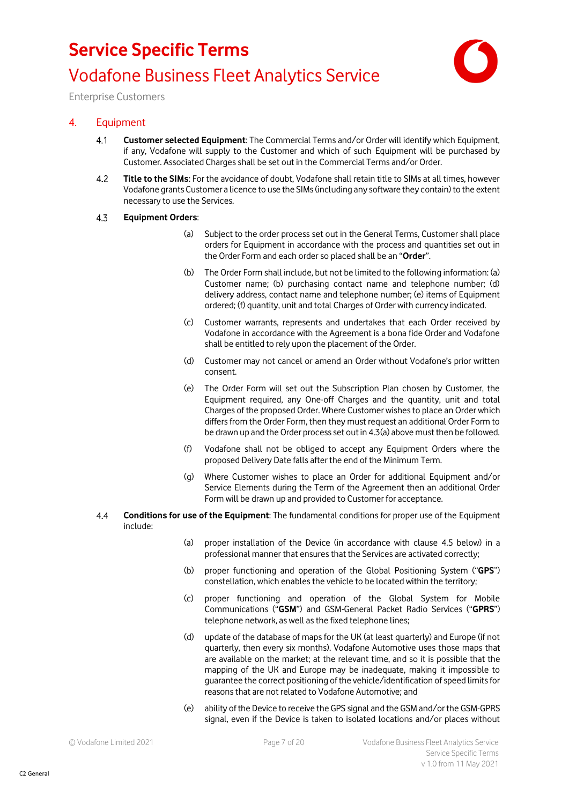

Enterprise Customers

### 4. Equipment

- $4.1$ **Customer selected Equipment**: The Commercial Terms and/or Order will identify which Equipment, if any, Vodafone will supply to the Customer and which of such Equipment will be purchased by Customer. Associated Charges shall be set out in the Commercial Terms and/or Order.
- $4.2$ **Title to the SIMs**: For the avoidance of doubt, Vodafone shall retain title to SIMs at all times, however Vodafone grants Customer a licence to use the SIMs (including any software they contain) to the extent necessary to use the Services.
- $4.3$ **Equipment Orders**:
	- (a) Subject to the order process set out in the General Terms, Customer shall place orders for Equipment in accordance with the process and quantities set out in the Order Form and each order so placed shall be an "**Order**".
	- (b) The Order Form shall include, but not be limited to the following information: (a) Customer name; (b) purchasing contact name and telephone number; (d) delivery address, contact name and telephone number; (e) items of Equipment ordered; (f) quantity, unit and total Charges of Order with currency indicated.
	- (c) Customer warrants, represents and undertakes that each Order received by Vodafone in accordance with the Agreement is a bona fide Order and Vodafone shall be entitled to rely upon the placement of the Order.
	- (d) Customer may not cancel or amend an Order without Vodafone's prior written consent.
	- (e) The Order Form will set out the Subscription Plan chosen by Customer, the Equipment required, any One-off Charges and the quantity, unit and total Charges of the proposed Order. Where Customer wishes to place an Order which differs from the Order Form, then they must request an additional Order Form to be drawn up and the Order process set out in 4.3(a) above must then be followed.
	- (f) Vodafone shall not be obliged to accept any Equipment Orders where the proposed Delivery Date falls after the end of the Minimum Term.
	- (g) Where Customer wishes to place an Order for additional Equipment and/or Service Elements during the Term of the Agreement then an additional Order Form will be drawn up and provided to Customer for acceptance.
- $44$ **Conditions for use of the Equipment**: The fundamental conditions for proper use of the Equipment include:
	- (a) proper installation of the Device (in accordance with clause [4.5](#page-7-0) below) in a professional manner that ensures that the Services are activated correctly;
	- (b) proper functioning and operation of the Global Positioning System ("**GPS**") constellation, which enables the vehicle to be located within the territory;
	- (c) proper functioning and operation of the Global System for Mobile Communications ("**GSM**") and GSM-General Packet Radio Services ("**GPRS**") telephone network, as well as the fixed telephone lines;
	- (d) update of the database of maps for the UK (at least quarterly) and Europe (if not quarterly, then every six months). Vodafone Automotive uses those maps that are available on the market; at the relevant time, and so it is possible that the mapping of the UK and Europe may be inadequate, making it impossible to guarantee the correct positioning of the vehicle/identification of speed limits for reasons that are not related to Vodafone Automotive; and
	- (e) ability of the Device to receive the GPS signal and the GSM and/or the GSM-GPRS signal, even if the Device is taken to isolated locations and/or places without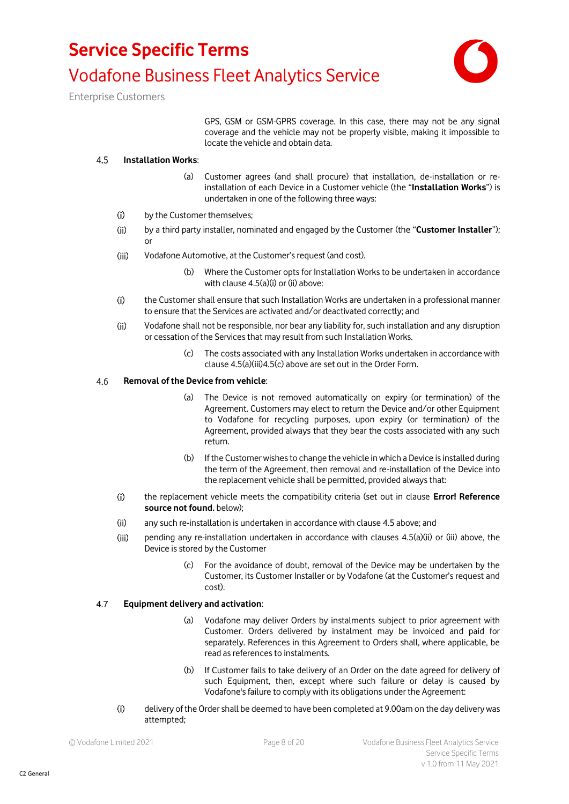

Enterprise Customers

GPS, GSM or GSM-GPRS coverage. In this case, there may not be any signal coverage and the vehicle may not be properly visible, making it impossible to locate the vehicle and obtain data.

#### <span id="page-7-0"></span> $4,5$ **Installation Works**:

- (a) Customer agrees (and shall procure) that installation, de-installation or reinstallation of each Device in a Customer vehicle (the "**Installation Works**") is undertaken in one of the following three ways:
- <span id="page-7-1"></span> $(i)$ by the Customer themselves;
- <span id="page-7-2"></span> $(ii)$ by a third party installer, nominated and engaged by the Customer (the "**Customer Installer**"); or
- <span id="page-7-3"></span> $(iii)$ Vodafone Automotive, at the Customer's request (and cost).
	- (b) Where the Customer opts for Installation Works to be undertaken in accordance with clause [4.5\(a\)\(i\)](#page-7-1) o[r \(ii\)](#page-7-2) above:
- $(i)$ the Customer shall ensure that such Installation Works are undertaken in a professional manner to ensure that the Services are activated and/or deactivated correctly; and
- $(ii)$ Vodafone shall not be responsible, nor bear any liability for, such installation and any disruption or cessation of the Services that may result from such Installation Works.
	- (c) The costs associated with any Installation Works undertaken in accordance with claus[e 4.5\(a\)\(iii\)](#page-7-3)[4.5\(c\)](#page-7-4) above are set out in the Order Form.

#### <span id="page-7-4"></span>4.6 **Removal of the Device from vehicle**:

- (a) The Device is not removed automatically on expiry (or termination) of the Agreement. Customers may elect to return the Device and/or other Equipment to Vodafone for recycling purposes, upon expiry (or termination) of the Agreement, provided always that they bear the costs associated with any such return.
- (b) If the Customer wishes to change the vehicle in which a Device is installed during the term of the Agreement, then removal and re-installation of the Device into the replacement vehicle shall be permitted, provided always that:
- $(i)$ the replacement vehicle meets the compatibility criteria (set out in clause **Error! Reference source not found.** below);
- $(ii)$ any such re-installation is undertaken in accordance with claus[e 4.5](#page-7-0) above; and
- $(iii)$ pending any re-installation undertaken in accordance with clauses [4.5\(a\)\(ii\)](#page-7-2) or [\(iii\)](#page-7-3) above, the Device is stored by the Customer
	- (c) For the avoidance of doubt, removal of the Device may be undertaken by the Customer, its Customer Installer or by Vodafone (at the Customer's request and cost).

#### 4.7 **Equipment delivery and activation**:

- (a) Vodafone may deliver Orders by instalments subject to prior agreement with Customer. Orders delivered by instalment may be invoiced and paid for separately. References in this Agreement to Orders shall, where applicable, be read as references to instalments.
- (b) If Customer fails to take delivery of an Order on the date agreed for delivery of such Equipment, then, except where such failure or delay is caused by Vodafone's failure to comply with its obligations under the Agreement:
- $(i)$ delivery of the Order shall be deemed to have been completed at 9.00am on the day delivery was attempted;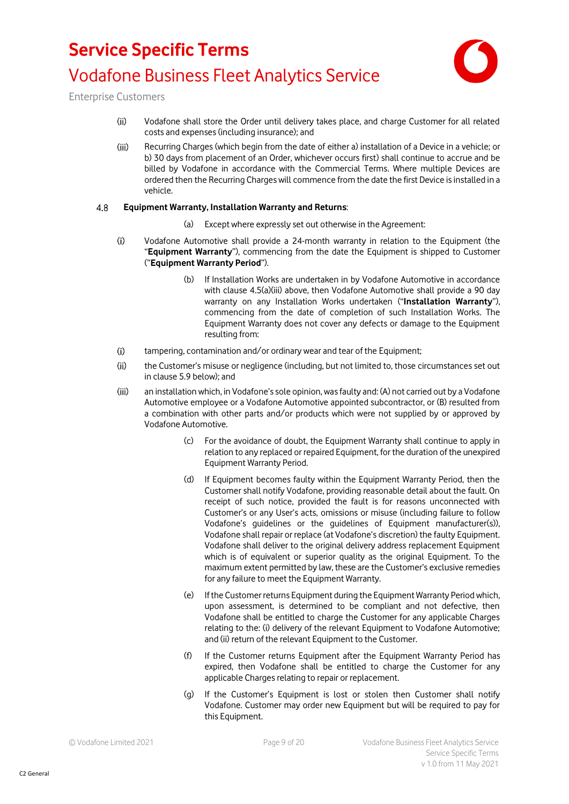

Enterprise Customers

- $(ii)$ Vodafone shall store the Order until delivery takes place, and charge Customer for all related costs and expenses (including insurance); and
- $(iii)$ Recurring Charges (which begin from the date of either a) installation of a Device in a vehicle; or b) 30 days from placement of an Order, whichever occurs first) shall continue to accrue and be billed by Vodafone in accordance with the Commercial Terms. Where multiple Devices are ordered then the Recurring Charges will commence from the date the first Device is installed in a vehicle.

#### $4.8$ **Equipment Warranty, Installation Warranty and Returns**:

- (a) Except where expressly set out otherwise in the Agreement:
- $(i)$ Vodafone Automotive shall provide a 24-month warranty in relation to the Equipment (the "**Equipment Warranty**"), commencing from the date the Equipment is shipped to Customer ("**Equipment Warranty Period**").
	- (b) If Installation Works are undertaken in by Vodafone Automotive in accordance with clause [4.5\(a\)\(iii\)](#page-7-3) above, then Vodafone Automotive shall provide a 90 day warranty on any Installation Works undertaken ("**Installation Warranty**"), commencing from the date of completion of such Installation Works. The Equipment Warranty does not cover any defects or damage to the Equipment resulting from:
- $(i)$ tampering, contamination and/or ordinary wear and tear of the Equipment;
- $(ii)$ the Customer's misuse or negligence (including, but not limited to, those circumstances set out in claus[e 5.9](#page-11-0) below); and
- an installation which, in Vodafone's sole opinion, was faulty and: (A) not carried out by a Vodafone  $(iii)$ Automotive employee or a Vodafone Automotive appointed subcontractor, or (B) resulted from a combination with other parts and/or products which were not supplied by or approved by Vodafone Automotive.
	- (c) For the avoidance of doubt, the Equipment Warranty shall continue to apply in relation to any replaced or repaired Equipment, for the duration of the unexpired Equipment Warranty Period.
	- (d) If Equipment becomes faulty within the Equipment Warranty Period, then the Customer shall notify Vodafone, providing reasonable detail about the fault. On receipt of such notice, provided the fault is for reasons unconnected with Customer's or any User's acts, omissions or misuse (including failure to follow Vodafone's guidelines or the guidelines of Equipment manufacturer(s)), Vodafone shall repair or replace (at Vodafone's discretion) the faulty Equipment. Vodafone shall deliver to the original delivery address replacement Equipment which is of equivalent or superior quality as the original Equipment. To the maximum extent permitted by law, these are the Customer's exclusive remedies for any failure to meet the Equipment Warranty.
	- (e) If the Customer returns Equipment during the Equipment Warranty Period which, upon assessment, is determined to be compliant and not defective, then Vodafone shall be entitled to charge the Customer for any applicable Charges relating to the: (i) delivery of the relevant Equipment to Vodafone Automotive; and (ii) return of the relevant Equipment to the Customer.
	- (f) If the Customer returns Equipment after the Equipment Warranty Period has expired, then Vodafone shall be entitled to charge the Customer for any applicable Charges relating to repair or replacement.
	- (g) If the Customer's Equipment is lost or stolen then Customer shall notify Vodafone. Customer may order new Equipment but will be required to pay for this Equipment.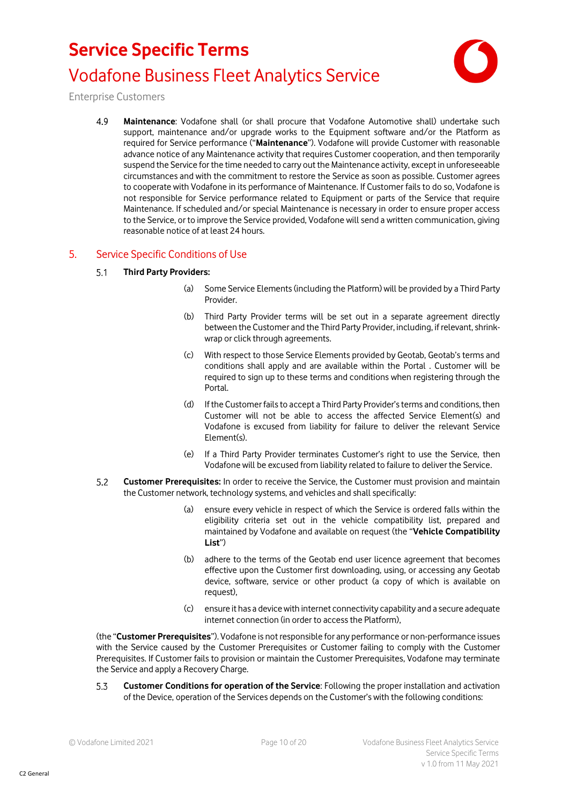

Enterprise Customers

4.9 **Maintenance**: Vodafone shall (or shall procure that Vodafone Automotive shall) undertake such support, maintenance and/or upgrade works to the Equipment software and/or the Platform as required for Service performance ("**Maintenance**"). Vodafone will provide Customer with reasonable advance notice of any Maintenance activity that requires Customer cooperation, and then temporarily suspend the Service for the time needed to carry out the Maintenance activity, except in unforeseeable circumstances and with the commitment to restore the Service as soon as possible. Customer agrees to cooperate with Vodafone in its performance of Maintenance. If Customer fails to do so, Vodafone is not responsible for Service performance related to Equipment or parts of the Service that require Maintenance. If scheduled and/or special Maintenance is necessary in order to ensure proper access to the Service, or to improve the Service provided, Vodafone will send a written communication, giving reasonable notice of at least 24 hours.

### 5. Service Specific Conditions of Use

#### $5.1$ **Third Party Providers:**

- (a) Some Service Elements(including the Platform) will be provided by a Third Party Provider.
- (b) Third Party Provider terms will be set out in a separate agreement directly between the Customer and the Third Party Provider, including, if relevant, shrinkwrap or click through agreements.
- (c) With respect to those Service Elements provided by Geotab, Geotab's terms and conditions shall apply and are available within the Portal . Customer will be required to sign up to these terms and conditions when registering through the Portal.
- (d) If the Customer fails to accept a Third Party Provider's terms and conditions, then Customer will not be able to access the affected Service Element(s) and Vodafone is excused from liability for failure to deliver the relevant Service Element(s).
- (e) If a Third Party Provider terminates Customer's right to use the Service, then Vodafone will be excused from liability related to failure to deliver the Service.
- $5.2$ **Customer Prerequisites:** In order to receive the Service, the Customer must provision and maintain the Customer network, technology systems, and vehicles and shall specifically:
	- (a) ensure every vehicle in respect of which the Service is ordered falls within the eligibility criteria set out in the vehicle compatibility list, prepared and maintained by Vodafone and available on request (the "**Vehicle Compatibility List**")
	- (b) adhere to the terms of the Geotab end user licence agreement that becomes effective upon the Customer first downloading, using, or accessing any Geotab device, software, service or other product (a copy of which is available on request),
	- (c) ensure it has a device with internet connectivity capability and a secure adequate internet connection (in order to access the Platform),

(the "**Customer Prerequisites**"). Vodafone is not responsible for any performance or non-performance issues with the Service caused by the Customer Prerequisites or Customer failing to comply with the Customer Prerequisites. If Customer fails to provision or maintain the Customer Prerequisites, Vodafone may terminate the Service and apply a Recovery Charge.

**Customer Conditions for operation of the Service**: Following the proper installation and activation 5.3 of the Device, operation of the Services depends on the Customer's with the following conditions: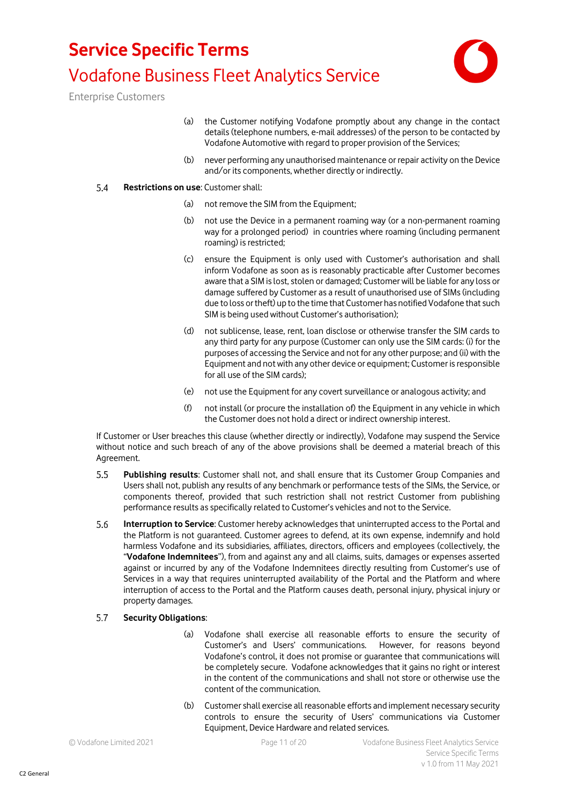

Enterprise Customers

- (a) the Customer notifying Vodafone promptly about any change in the contact details (telephone numbers, e-mail addresses) of the person to be contacted by Vodafone Automotive with regard to proper provision of the Services;
- (b) never performing any unauthorised maintenance or repair activity on the Device and/or its components, whether directly or indirectly.

#### 5.4 **Restrictions on use**: Customer shall:

- (a) not remove the SIM from the Equipment;
- (b) not use the Device in a permanent roaming way (or a non-permanent roaming way for a prolonged period) in countries where roaming (including permanent roaming) is restricted;
- (c) ensure the Equipment is only used with Customer's authorisation and shall inform Vodafone as soon as is reasonably practicable after Customer becomes aware that a SIM is lost, stolen or damaged; Customer will be liable for any loss or damage suffered by Customer as a result of unauthorised use of SIMs (including due to loss or theft) up to the time that Customer has notified Vodafone that such SIM is being used without Customer's authorisation);
- (d) not sublicense, lease, rent, loan disclose or otherwise transfer the SIM cards to any third party for any purpose (Customer can only use the SIM cards: (i) for the purposes of accessing the Service and not for any other purpose; and (ii) with the Equipment and not with any other device or equipment; Customer is responsible for all use of the SIM cards);
- (e) not use the Equipment for any covert surveillance or analogous activity; and
- (f) not install (or procure the installation of) the Equipment in any vehicle in which the Customer does not hold a direct or indirect ownership interest.

If Customer or User breaches this clause (whether directly or indirectly), Vodafone may suspend the Service without notice and such breach of any of the above provisions shall be deemed a material breach of this Agreement.

- $5.5$ **Publishing results**: Customer shall not, and shall ensure that its Customer Group Companies and Users shall not, publish any results of any benchmark or performance tests of the SIMs, the Service, or components thereof, provided that such restriction shall not restrict Customer from publishing performance results as specifically related to Customer's vehicles and not to the Service.
- 5.6 **Interruption to Service**: Customer hereby acknowledges that uninterrupted access to the Portal and the Platform is not guaranteed. Customer agrees to defend, at its own expense, indemnify and hold harmless Vodafone and its subsidiaries, affiliates, directors, officers and employees (collectively, the "**Vodafone Indemnitees**"), from and against any and all claims, suits, damages or expenses asserted against or incurred by any of the Vodafone Indemnitees directly resulting from Customer's use of Services in a way that requires uninterrupted availability of the Portal and the Platform and where interruption of access to the Portal and the Platform causes death, personal injury, physical injury or property damages.

#### **Security Obligations**:  $5.7$

- (a) Vodafone shall exercise all reasonable efforts to ensure the security of Customer's and Users' communications. However, for reasons beyond Vodafone's control, it does not promise or guarantee that communications will be completely secure. Vodafone acknowledges that it gains no right or interest in the content of the communications and shall not store or otherwise use the content of the communication.
- (b) Customer shall exercise all reasonable efforts and implement necessary security controls to ensure the security of Users' communications via Customer Equipment, Device Hardware and related services.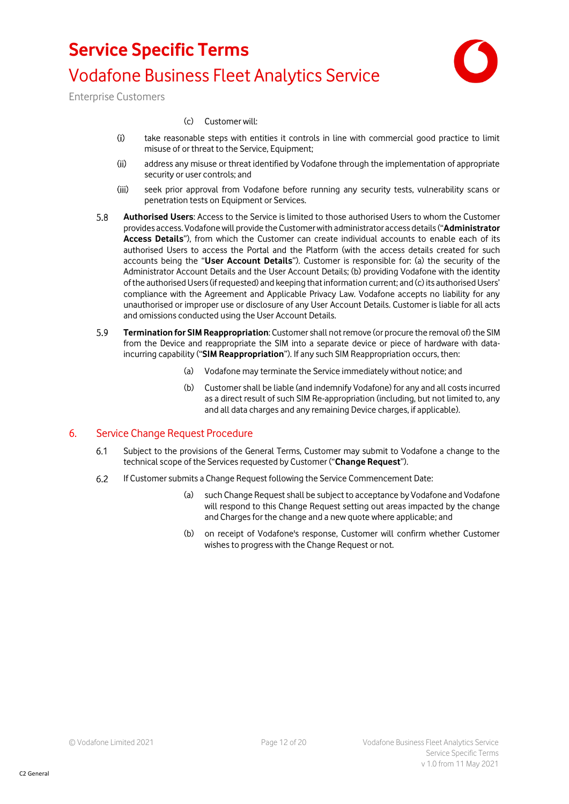

Enterprise Customers

#### (c) Customer will:

- $(i)$ take reasonable steps with entities it controls in line with commercial good practice to limit misuse of or threat to the Service, Equipment;
- $(ii)$ address any misuse or threat identified by Vodafone through the implementation of appropriate security or user controls; and
- $(iii)$ seek prior approval from Vodafone before running any security tests, vulnerability scans or penetration tests on Equipment or Services.
- $5.8$ **Authorised Users**: Access to the Service is limited to those authorised Users to whom the Customer provides access. Vodafone will provide the Customer with administrator access details("**Administrator Access Details**"), from which the Customer can create individual accounts to enable each of its authorised Users to access the Portal and the Platform (with the access details created for such accounts being the "**User Account Details**"). Customer is responsible for: (a) the security of the Administrator Account Details and the User Account Details; (b) providing Vodafone with the identity of the authorised Users (if requested) and keeping that information current; and (c) its authorised Users' compliance with the Agreement and Applicable Privacy Law. Vodafone accepts no liability for any unauthorised or improper use or disclosure of any User Account Details. Customer is liable for all acts and omissions conducted using the User Account Details.
- <span id="page-11-0"></span>5.9 **Termination for SIM Reappropriation**: Customer shall not remove (or procure the removal of) the SIM from the Device and reappropriate the SIM into a separate device or piece of hardware with dataincurring capability ("**SIM Reappropriation**"). If any such SIM Reappropriation occurs, then:
	- (a) Vodafone may terminate the Service immediately without notice; and
	- (b) Customer shall be liable (and indemnify Vodafone) for any and all costs incurred as a direct result of such SIM Re-appropriation (including, but not limited to, any and all data charges and any remaining Device charges, if applicable).

### 6. Service Change Request Procedure

- Subject to the provisions of the General Terms, Customer may submit to Vodafone a change to the  $6.1$ technical scope of the Services requested by Customer ("**Change Request**").
- $6.2$ If Customer submits a Change Request following the Service Commencement Date:
	- (a) such Change Request shall be subject to acceptance by Vodafone and Vodafone will respond to this Change Request setting out areas impacted by the change and Charges for the change and a new quote where applicable; and
	- (b) on receipt of Vodafone's response, Customer will confirm whether Customer wishes to progress with the Change Request or not.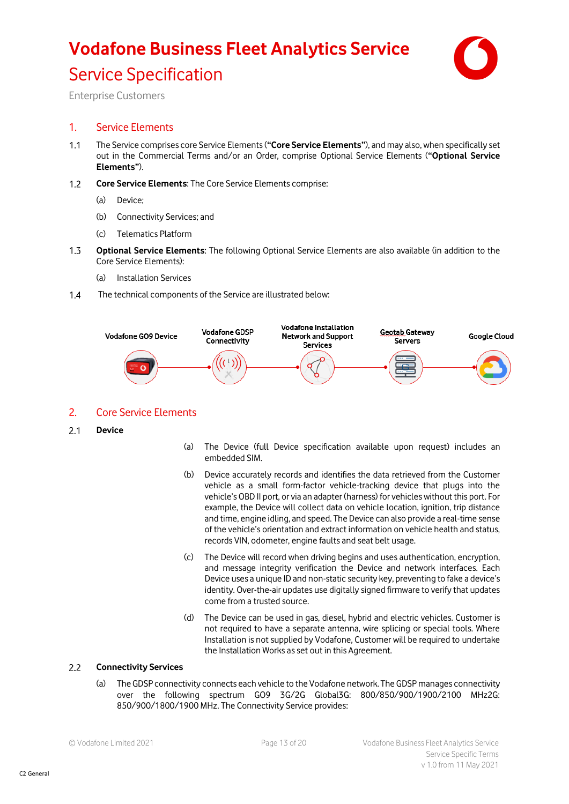# **Vodafone Business Fleet Analytics Service** Service Specification



Enterprise Customers

### 1. Service Elements

- $1.1$ The Service comprises core Service Elements (**"Core Service Elements"**), and may also, when specifically set out in the Commercial Terms and/or an Order, comprise Optional Service Elements (**"Optional Service Elements"**).
- $1.2$ **Core Service Elements**: The Core Service Elements comprise:
	- (a) Device;
	- (b) Connectivity Services; and
	- (c) Telematics Platform
- $1.3$ **Optional Service Elements**: The following Optional Service Elements are also available (in addition to the Core Service Elements):
	- (a) Installation Services
- $1,4$ The technical components of the Service are illustrated below:



### 2. Core Service Elements

- $2.1$ **Device**
- (a) The Device (full Device specification available upon request) includes an embedded SIM.
- (b) Device accurately records and identifies the data retrieved from the Customer vehicle as a small form-factor vehicle-tracking device that plugs into the vehicle's OBD II port, or via an adapter (harness) for vehicles without this port. For example, the Device will collect data on vehicle location, ignition, trip distance and time, engine idling, and speed. The Device can also provide a real-time sense of the vehicle's orientation and extract information on vehicle health and status, records VIN, odometer, engine faults and seat belt usage.
- (c) The Device will record when driving begins and uses authentication, encryption, and message integrity verification the Device and network interfaces. Each Device uses a unique ID and non-static security key, preventing to fake a device's identity. Over-the-air updates use digitally signed firmware to verify that updates come from a trusted source.
- (d) The Device can be used in gas, diesel, hybrid and electric vehicles. Customer is not required to have a separate antenna, wire splicing or special tools. Where Installation is not supplied by Vodafone, Customer will be required to undertake the Installation Works as set out in this Agreement.

#### $2.2$ **Connectivity Services**

(a) The GDSP connectivity connects each vehicle to the Vodafone network. The GDSP manages connectivity over the following spectrum GO9 3G/2G Global3G: 800/850/900/1900/2100 MHz2G: 850/900/1800/1900 MHz. The Connectivity Service provides: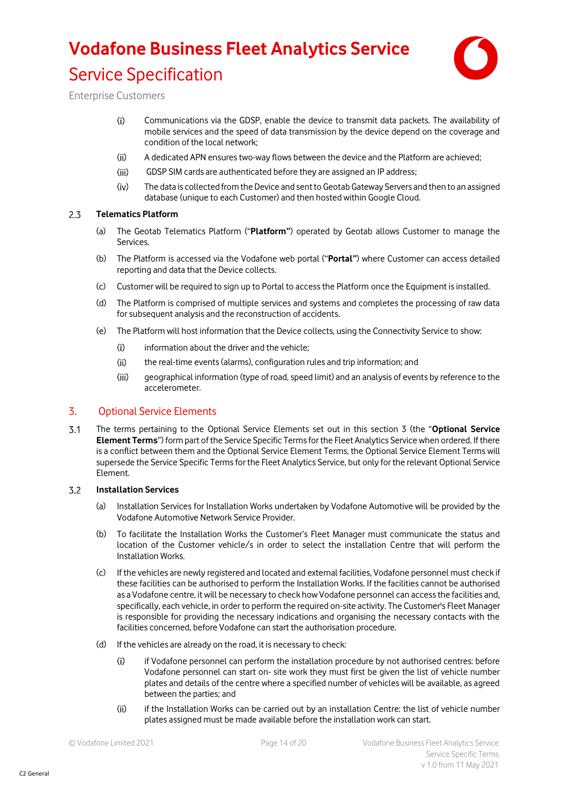# **Vodafone Business Fleet Analytics Service** Service Specification



Enterprise Customers

- $(i)$ Communications via the GDSP, enable the device to transmit data packets. The availability of mobile services and the speed of data transmission by the device depend on the coverage and condition of the local network;
- $(ii)$ A dedicated APN ensures two-way flows between the device and the Platform are achieved;
- $(iii)$ GDSP SIM cards are authenticated before they are assigned an IP address;
- $(iv)$ The data is collected from the Device and sent to Geotab Gateway Servers and then to an assigned database (unique to each Customer) and then hosted within Google Cloud.

#### $2.3$ **Telematics Platform**

- (a) The Geotab Telematics Platform ("**Platform"**) operated by Geotab allows Customer to manage the Services.
- (b) The Platform is accessed via the Vodafone web portal ("**Portal"**) where Customer can access detailed reporting and data that the Device collects.
- (c) Customer will be required to sign up to Portal to access the Platform once the Equipment is installed.
- (d) The Platform is comprised of multiple services and systems and completes the processing of raw data for subsequent analysis and the reconstruction of accidents.
- (e) The Platform will host information that the Device collects, using the Connectivity Service to show:
	- $(i)$ information about the driver and the vehicle;
	- $(iii)$ the real-time events (alarms), configuration rules and trip information; and
	- geographical information (type of road, speed limit) and an analysis of events by reference to the  $(iii)$ accelerometer.

### 3. Optional Service Elements

 $3.1$ The terms pertaining to the Optional Service Elements set out in this section 3 (the "**Optional Service Element Terms**") form part of the Service Specific Terms for the Fleet Analytics Service when ordered. If there is a conflict between them and the Optional Service Element Terms, the Optional Service Element Terms will supersede the Service Specific Terms for the Fleet Analytics Service, but only for the relevant Optional Service Element.

#### $3.2$ **Installation Services**

- (a) Installation Services for Installation Works undertaken by Vodafone Automotive will be provided by the Vodafone Automotive Network Service Provider.
- (b) To facilitate the Installation Works the Customer's Fleet Manager must communicate the status and location of the Customer vehicle/s in order to select the installation Centre that will perform the Installation Works.
- (c) If the vehicles are newly registered and located and external facilities, Vodafone personnel must check if these facilities can be authorised to perform the Installation Works. If the facilities cannot be authorised as a Vodafone centre, it will be necessary to check how Vodafone personnel can access the facilities and, specifically, each vehicle, in order to perform the required on-site activity. The Customer's Fleet Manager is responsible for providing the necessary indications and organising the necessary contacts with the facilities concerned, before Vodafone can start the authorisation procedure.
- (d) If the vehicles are already on the road, it is necessary to check:
	- $(i)$ if Vodafone personnel can perform the installation procedure by not authorised centres: before Vodafone personnel can start on- site work they must first be given the list of vehicle number plates and details of the centre where a specified number of vehicles will be available, as agreed between the parties; and
	- if the Installation Works can be carried out by an installation Centre: the list of vehicle number  $(ii)$ plates assigned must be made available before the installation work can start.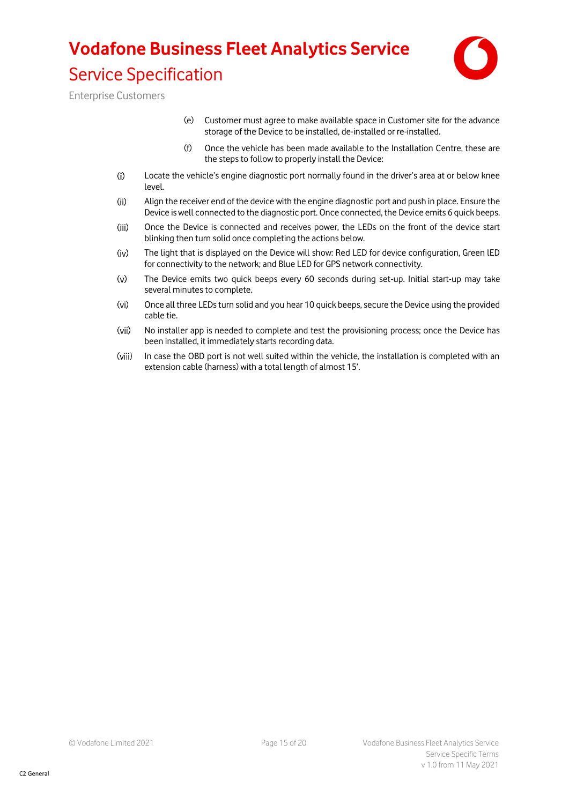# **Vodafone Business Fleet Analytics Service** Service Specification



Enterprise Customers

- (e) Customer must agree to make available space in Customer site for the advance storage of the Device to be installed, de-installed or re-installed.
- (f) Once the vehicle has been made available to the Installation Centre, these are the steps to follow to properly install the Device:
- $(i)$ Locate the vehicle's engine diagnostic port normally found in the driver's area at or below knee level.
- Align the receiver end of the device with the engine diagnostic port and push in place. Ensure the  $(ii)$ Device is well connected to the diagnostic port. Once connected, the Device emits 6 quick beeps.
- $(iii)$ Once the Device is connected and receives power, the LEDs on the front of the device start blinking then turn solid once completing the actions below.
- $(iv)$ The light that is displayed on the Device will show: Red LED for device configuration, Green lED for connectivity to the network; and Blue LED for GPS network connectivity.
- $\omega$ The Device emits two quick beeps every 60 seconds during set-up. Initial start-up may take several minutes to complete.
- $(v<sub>i</sub>)$ Once all three LEDs turn solid and you hear 10 quick beeps, secure the Device using the provided cable tie.
- $(vii)$ No installer app is needed to complete and test the provisioning process; once the Device has been installed, it immediately starts recording data.
- (viii) In case the OBD port is not well suited within the vehicle, the installation is completed with an extension cable (harness) with a total length of almost 15'.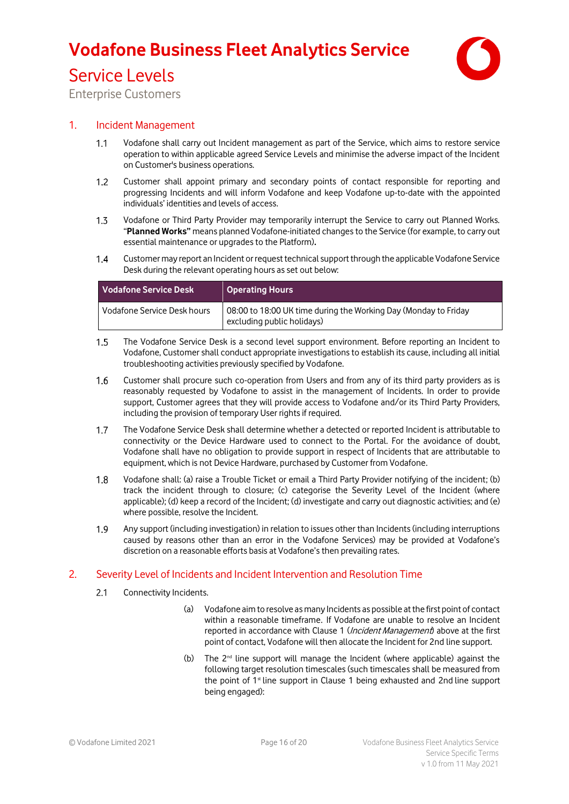

### Service Levels

Enterprise Customers

### 1. Incident Management

- Vodafone shall carry out Incident management as part of the Service, which aims to restore service  $1.1$ operation to within applicable agreed Service Levels and minimise the adverse impact of the Incident on Customer's business operations.
- $1.2$ Customer shall appoint primary and secondary points of contact responsible for reporting and progressing Incidents and will inform Vodafone and keep Vodafone up-to-date with the appointed individuals' identities and levels of access.
- $1.3$ Vodafone or Third Party Provider may temporarily interrupt the Service to carry out Planned Works. "**Planned Works"** means planned Vodafone-initiated changes to the Service (for example, to carry out essential maintenance or upgrades to the Platform)**.**
- $1.4$ Customer may report an Incident or request technical support through the applicable Vodafone Service Desk during the relevant operating hours as set out below:

| Vodafone Service Desk       | Operating Hours                                                                               |
|-----------------------------|-----------------------------------------------------------------------------------------------|
| Vodafone Service Desk hours | 08:00 to 18:00 UK time during the Working Day (Monday to Friday<br>excluding public holidays) |

- $1.5$ The Vodafone Service Desk is a second level support environment. Before reporting an Incident to Vodafone, Customer shall conduct appropriate investigations to establish its cause, including all initial troubleshooting activities previously specified by Vodafone.
- $1.6$ Customer shall procure such co-operation from Users and from any of its third party providers as is reasonably requested by Vodafone to assist in the management of Incidents. In order to provide support, Customer agrees that they will provide access to Vodafone and/or its Third Party Providers, including the provision of temporary User rights if required.
- $1.7$ The Vodafone Service Desk shall determine whether a detected or reported Incident is attributable to connectivity or the Device Hardware used to connect to the Portal. For the avoidance of doubt, Vodafone shall have no obligation to provide support in respect of Incidents that are attributable to equipment, which is not Device Hardware, purchased by Customer from Vodafone.
- Vodafone shall: (a) raise a Trouble Ticket or email a Third Party Provider notifying of the incident; (b)  $1.8$ track the incident through to closure; (c) categorise the Severity Level of the Incident (where applicable); (d) keep a record of the Incident; (d) investigate and carry out diagnostic activities; and (e) where possible, resolve the Incident.
- 1.9 Any support (including investigation) in relation to issues other than Incidents (including interruptions caused by reasons other than an error in the Vodafone Services) may be provided at Vodafone's discretion on a reasonable efforts basis at Vodafone's then prevailing rates.

### 2. Severity Level of Incidents and Incident Intervention and Resolution Time

- $2.1$ Connectivity Incidents.
	- (a) Vodafone aim to resolve as many Incidents as possible at the first point of contact within a reasonable timeframe. If Vodafone are unable to resolve an Incident reported in accordance with Clause 1 (*Incident Management*) above at the first point of contact, Vodafone will then allocate the Incident for 2nd line support.
	- (b) The  $2^{nd}$  line support will manage the Incident (where applicable) against the following target resolution timescales (such timescales shall be measured from the point of 1<sup>st</sup> line support in Clause 1 being exhausted and 2nd line support being engaged):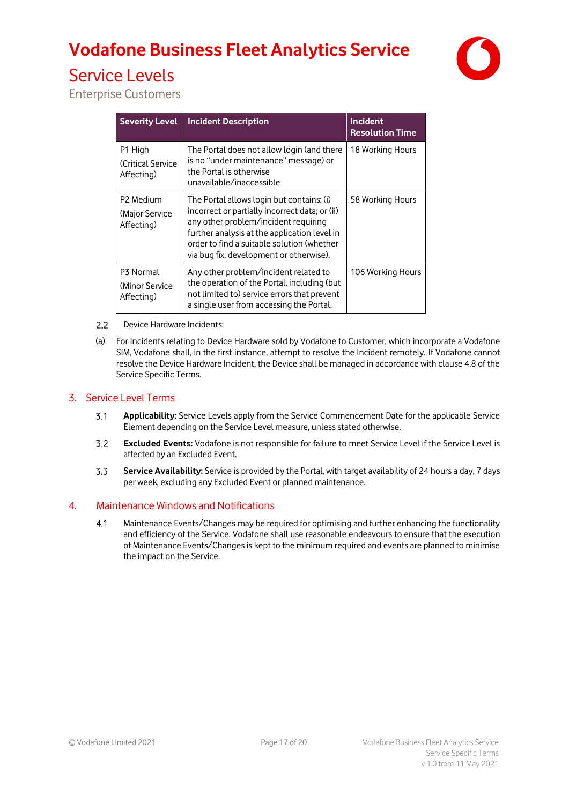

## Service Levels

Enterprise Customers

| <b>Severity Level</b>                       | <b>Incident Description</b>                                                                                                                                                                                                                                                  | <b>Incident</b><br><b>Resolution Time</b> |
|---------------------------------------------|------------------------------------------------------------------------------------------------------------------------------------------------------------------------------------------------------------------------------------------------------------------------------|-------------------------------------------|
| P1 High<br>(Critical Service)<br>Affecting) | The Portal does not allow login (and there<br>is no "under maintenance" message) or<br>the Portal is otherwise<br>unavailable/inaccessible                                                                                                                                   | 18 Working Hours                          |
| P2 Medium<br>(Major Service)<br>Affecting)  | The Portal allows login but contains: (i)<br>incorrect or partially incorrect data; or (ii)<br>any other problem/incident requiring<br>further analysis at the application level in<br>order to find a suitable solution (whether<br>via bug fix, development or otherwise). | 58 Working Hours                          |
| P3 Normal<br>(Minor Service)<br>Affecting)  | Any other problem/incident related to<br>the operation of the Portal, including (but<br>not limited to) service errors that prevent<br>a single user from accessing the Portal.                                                                                              | 106 Working Hours                         |

- $2.2$ Device Hardware Incidents:
- (a) For Incidents relating to Device Hardware sold by Vodafone to Customer, which incorporate a Vodafone SIM, Vodafone shall, in the first instance, attempt to resolve the Incident remotely. If Vodafone cannot resolve the Device Hardware Incident, the Device shall be managed in accordance with clause 4.8 of the Service Specific Terms.

### 3. Service Level Terms

- $3.1$ **Applicability:** Service Levels apply from the Service Commencement Date for the applicable Service Element depending on the Service Level measure, unless stated otherwise.
- **Excluded Events:** Vodafone is not responsible for failure to meet Service Level if the Service Level is  $3.2$ affected by an Excluded Event.
- $3.3$ **Service Availability:** Service is provided by the Portal, with target availability of 24 hours a day, 7 days per week, excluding any Excluded Event or planned maintenance.

### 4. Maintenance Windows and Notifications

 $4.1$ Maintenance Events/Changes may be required for optimising and further enhancing the functionality and efficiency of the Service. Vodafone shall use reasonable endeavours to ensure that the execution of Maintenance Events/Changes is kept to the minimum required and events are planned to minimise the impact on the Service.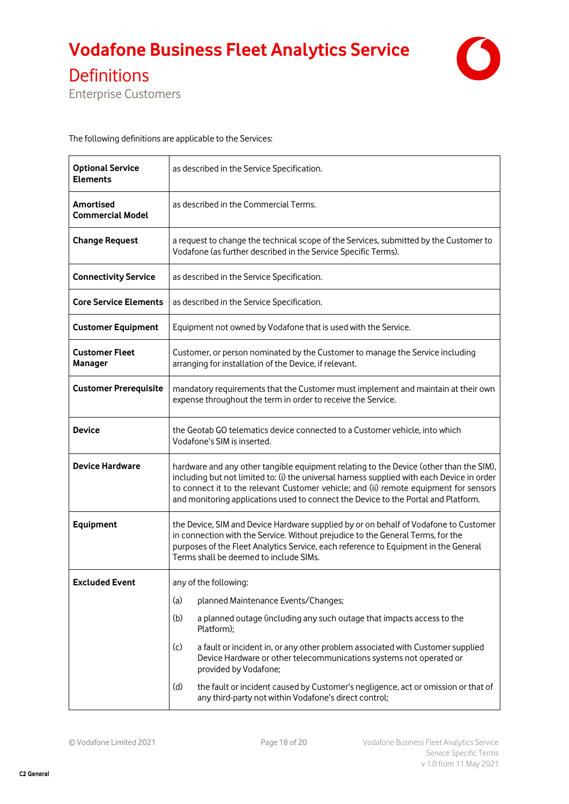

Definitions

Enterprise Customers

The following definitions are applicable to the Services:

| <b>Optional Service</b><br><b>Elements</b>  | as described in the Service Specification.                                                                                                                                                                                                                                                                                                                          |  |
|---------------------------------------------|---------------------------------------------------------------------------------------------------------------------------------------------------------------------------------------------------------------------------------------------------------------------------------------------------------------------------------------------------------------------|--|
| <b>Amortised</b><br><b>Commercial Model</b> | as described in the Commercial Terms.                                                                                                                                                                                                                                                                                                                               |  |
| <b>Change Request</b>                       | a request to change the technical scope of the Services, submitted by the Customer to<br>Vodafone (as further described in the Service Specific Terms).                                                                                                                                                                                                             |  |
| <b>Connectivity Service</b>                 | as described in the Service Specification.                                                                                                                                                                                                                                                                                                                          |  |
| <b>Core Service Elements</b>                | as described in the Service Specification.                                                                                                                                                                                                                                                                                                                          |  |
| <b>Customer Equipment</b>                   | Equipment not owned by Vodafone that is used with the Service.                                                                                                                                                                                                                                                                                                      |  |
| <b>Customer Fleet</b><br>Manager            | Customer, or person nominated by the Customer to manage the Service including<br>arranging for installation of the Device, if relevant.                                                                                                                                                                                                                             |  |
| <b>Customer Prerequisite</b>                | mandatory requirements that the Customer must implement and maintain at their own<br>expense throughout the term in order to receive the Service.                                                                                                                                                                                                                   |  |
| <b>Device</b>                               | the Geotab GO telematics device connected to a Customer vehicle, into which<br>Vodafone's SIM is inserted.                                                                                                                                                                                                                                                          |  |
| <b>Device Hardware</b>                      | hardware and any other tangible equipment relating to the Device (other than the SIM),<br>including but not limited to: (i) the universal harness supplied with each Device in order<br>to connect it to the relevant Customer vehicle; and (ii) remote equipment for sensors<br>and monitoring applications used to connect the Device to the Portal and Platform. |  |
| Equipment                                   | the Device, SIM and Device Hardware supplied by or on behalf of Vodafone to Customer<br>in connection with the Service. Without prejudice to the General Terms, for the<br>purposes of the Fleet Analytics Service, each reference to Equipment in the General<br>Terms shall be deemed to include SIMs.                                                            |  |
| <b>Excluded Event</b>                       | any of the following:                                                                                                                                                                                                                                                                                                                                               |  |
|                                             | planned Maintenance Events/Changes;<br>(a)                                                                                                                                                                                                                                                                                                                          |  |
|                                             | a planned outage (including any such outage that impacts access to the<br>(b)<br>Platform);                                                                                                                                                                                                                                                                         |  |
|                                             | a fault or incident in, or any other problem associated with Customer supplied<br>(c)<br>Device Hardware or other telecommunications systems not operated or<br>provided by Vodafone;                                                                                                                                                                               |  |
|                                             | (d)<br>the fault or incident caused by Customer's negligence, act or omission or that of<br>any third-party not within Vodafone's direct control;                                                                                                                                                                                                                   |  |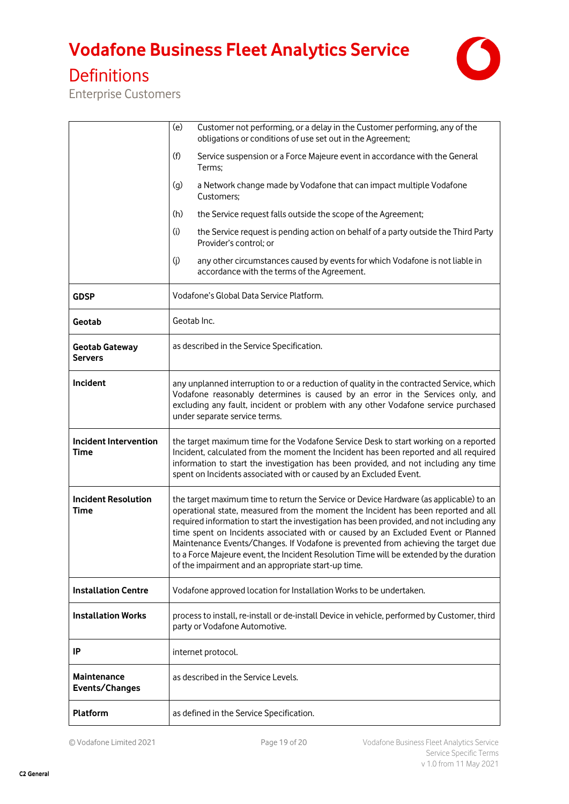

### Definitions

Enterprise Customers

|                                           | (e)<br>Customer not performing, or a delay in the Customer performing, any of the<br>obligations or conditions of use set out in the Agreement;                                                                                                                                                                                                                                                                                                                                                                                                                                                       |  |
|-------------------------------------------|-------------------------------------------------------------------------------------------------------------------------------------------------------------------------------------------------------------------------------------------------------------------------------------------------------------------------------------------------------------------------------------------------------------------------------------------------------------------------------------------------------------------------------------------------------------------------------------------------------|--|
|                                           | (f)<br>Service suspension or a Force Majeure event in accordance with the General<br>Terms;                                                                                                                                                                                                                                                                                                                                                                                                                                                                                                           |  |
|                                           | a Network change made by Vodafone that can impact multiple Vodafone<br>(g)<br>Customers;                                                                                                                                                                                                                                                                                                                                                                                                                                                                                                              |  |
|                                           | (h)<br>the Service request falls outside the scope of the Agreement;                                                                                                                                                                                                                                                                                                                                                                                                                                                                                                                                  |  |
|                                           | (i)<br>the Service request is pending action on behalf of a party outside the Third Party<br>Provider's control; or                                                                                                                                                                                                                                                                                                                                                                                                                                                                                   |  |
|                                           | any other circumstances caused by events for which Vodafone is not liable in<br>(j)<br>accordance with the terms of the Agreement.                                                                                                                                                                                                                                                                                                                                                                                                                                                                    |  |
| <b>GDSP</b>                               | Vodafone's Global Data Service Platform.                                                                                                                                                                                                                                                                                                                                                                                                                                                                                                                                                              |  |
| Geotab                                    | Geotab Inc.                                                                                                                                                                                                                                                                                                                                                                                                                                                                                                                                                                                           |  |
| <b>Geotab Gateway</b><br><b>Servers</b>   | as described in the Service Specification.                                                                                                                                                                                                                                                                                                                                                                                                                                                                                                                                                            |  |
| Incident                                  | any unplanned interruption to or a reduction of quality in the contracted Service, which<br>Vodafone reasonably determines is caused by an error in the Services only, and<br>excluding any fault, incident or problem with any other Vodafone service purchased<br>under separate service terms.                                                                                                                                                                                                                                                                                                     |  |
| <b>Incident Intervention</b><br>Time      | the target maximum time for the Vodafone Service Desk to start working on a reported<br>Incident, calculated from the moment the Incident has been reported and all required<br>information to start the investigation has been provided, and not including any time<br>spent on Incidents associated with or caused by an Excluded Event.                                                                                                                                                                                                                                                            |  |
| <b>Incident Resolution</b><br><b>Time</b> | the target maximum time to return the Service or Device Hardware (as applicable) to an<br>operational state, measured from the moment the Incident has been reported and all<br>required information to start the investigation has been provided, and not including any<br>time spent on Incidents associated with or caused by an Excluded Event or Planned<br>Maintenance Events/Changes. If Vodafone is prevented from achieving the target due<br>to a Force Majeure event, the Incident Resolution Time will be extended by the duration<br>of the impairment and an appropriate start-up time. |  |
| <b>Installation Centre</b>                | Vodafone approved location for Installation Works to be undertaken.                                                                                                                                                                                                                                                                                                                                                                                                                                                                                                                                   |  |
| <b>Installation Works</b>                 | process to install, re-install or de-install Device in vehicle, performed by Customer, third<br>party or Vodafone Automotive.                                                                                                                                                                                                                                                                                                                                                                                                                                                                         |  |
| IP                                        | internet protocol.                                                                                                                                                                                                                                                                                                                                                                                                                                                                                                                                                                                    |  |
| Maintenance<br>Events/Changes             | as described in the Service Levels.                                                                                                                                                                                                                                                                                                                                                                                                                                                                                                                                                                   |  |
| <b>Platform</b>                           | as defined in the Service Specification.                                                                                                                                                                                                                                                                                                                                                                                                                                                                                                                                                              |  |